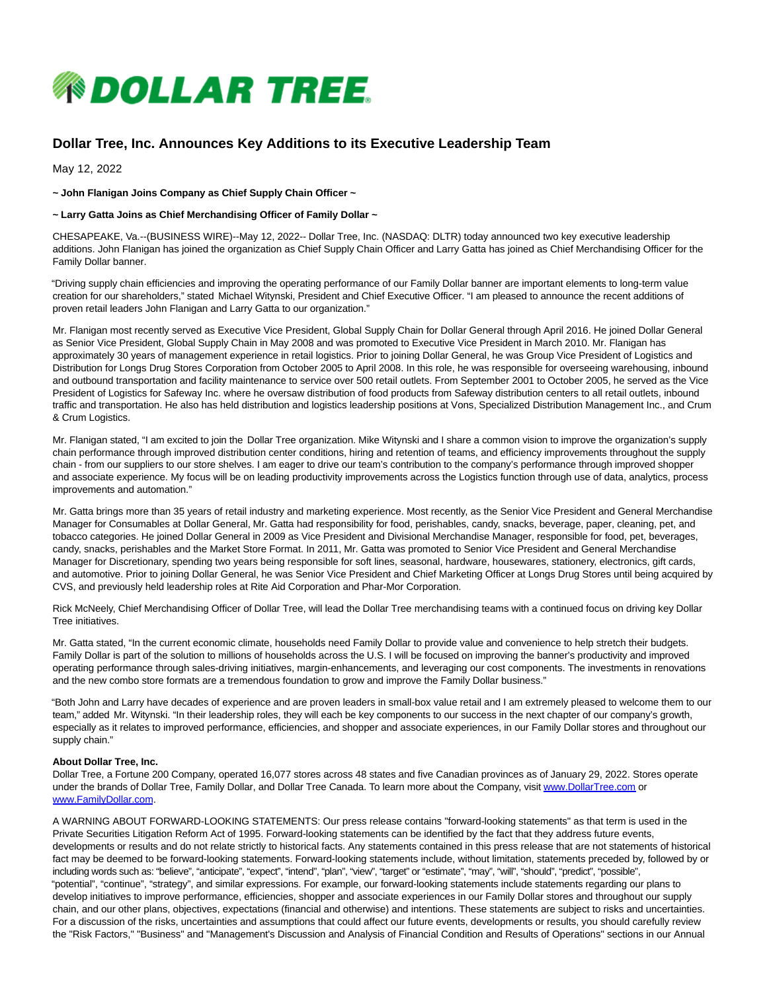

## **Dollar Tree, Inc. Announces Key Additions to its Executive Leadership Team**

May 12, 2022

**~ John Flanigan Joins Company as Chief Supply Chain Officer ~**

## **~ Larry Gatta Joins as Chief Merchandising Officer of Family Dollar ~**

CHESAPEAKE, Va.--(BUSINESS WIRE)--May 12, 2022-- Dollar Tree, Inc. (NASDAQ: DLTR) today announced two key executive leadership additions. John Flanigan has joined the organization as Chief Supply Chain Officer and Larry Gatta has joined as Chief Merchandising Officer for the Family Dollar banner.

"Driving supply chain efficiencies and improving the operating performance of our Family Dollar banner are important elements to long-term value creation for our shareholders," stated Michael Witynski, President and Chief Executive Officer. "I am pleased to announce the recent additions of proven retail leaders John Flanigan and Larry Gatta to our organization."

Mr. Flanigan most recently served as Executive Vice President, Global Supply Chain for Dollar General through April 2016. He joined Dollar General as Senior Vice President, Global Supply Chain in May 2008 and was promoted to Executive Vice President in March 2010. Mr. Flanigan has approximately 30 years of management experience in retail logistics. Prior to joining Dollar General, he was Group Vice President of Logistics and Distribution for Longs Drug Stores Corporation from October 2005 to April 2008. In this role, he was responsible for overseeing warehousing, inbound and outbound transportation and facility maintenance to service over 500 retail outlets. From September 2001 to October 2005, he served as the Vice President of Logistics for Safeway Inc. where he oversaw distribution of food products from Safeway distribution centers to all retail outlets, inbound traffic and transportation. He also has held distribution and logistics leadership positions at Vons, Specialized Distribution Management Inc., and Crum & Crum Logistics.

Mr. Flanigan stated, "I am excited to join the Dollar Tree organization. Mike Witynski and I share a common vision to improve the organization's supply chain performance through improved distribution center conditions, hiring and retention of teams, and efficiency improvements throughout the supply chain - from our suppliers to our store shelves. I am eager to drive our team's contribution to the company's performance through improved shopper and associate experience. My focus will be on leading productivity improvements across the Logistics function through use of data, analytics, process improvements and automation."

Mr. Gatta brings more than 35 years of retail industry and marketing experience. Most recently, as the Senior Vice President and General Merchandise Manager for Consumables at Dollar General, Mr. Gatta had responsibility for food, perishables, candy, snacks, beverage, paper, cleaning, pet, and tobacco categories. He joined Dollar General in 2009 as Vice President and Divisional Merchandise Manager, responsible for food, pet, beverages, candy, snacks, perishables and the Market Store Format. In 2011, Mr. Gatta was promoted to Senior Vice President and General Merchandise Manager for Discretionary, spending two years being responsible for soft lines, seasonal, hardware, housewares, stationery, electronics, gift cards, and automotive. Prior to joining Dollar General, he was Senior Vice President and Chief Marketing Officer at Longs Drug Stores until being acquired by CVS, and previously held leadership roles at Rite Aid Corporation and Phar-Mor Corporation.

Rick McNeely, Chief Merchandising Officer of Dollar Tree, will lead the Dollar Tree merchandising teams with a continued focus on driving key Dollar Tree initiatives.

Mr. Gatta stated, "In the current economic climate, households need Family Dollar to provide value and convenience to help stretch their budgets. Family Dollar is part of the solution to millions of households across the U.S. I will be focused on improving the banner's productivity and improved operating performance through sales-driving initiatives, margin-enhancements, and leveraging our cost components. The investments in renovations and the new combo store formats are a tremendous foundation to grow and improve the Family Dollar business."

"Both John and Larry have decades of experience and are proven leaders in small-box value retail and I am extremely pleased to welcome them to our team," added Mr. Witynski. "In their leadership roles, they will each be key components to our success in the next chapter of our company's growth, especially as it relates to improved performance, efficiencies, and shopper and associate experiences, in our Family Dollar stores and throughout our supply chain."

## **About Dollar Tree, Inc.**

Dollar Tree, a Fortune 200 Company, operated 16,077 stores across 48 states and five Canadian provinces as of January 29, 2022. Stores operate under the brands of Dollar Tree, Family Dollar, and Dollar Tree Canada. To learn more about the Company, visi[t www.DollarTree.com o](https://cts.businesswire.com/ct/CT?id=smartlink&url=http%3A%2F%2Fwww.DollarTree.com&esheet=52715070&newsitemid=20220512005033&lan=en-US&anchor=www.DollarTree.com&index=1&md5=3a46c109e2ab4d0ea8cb9424bd62d1f6)r [www.FamilyDollar.com.](https://cts.businesswire.com/ct/CT?id=smartlink&url=http%3A%2F%2Fwww.FamilyDollar.com&esheet=52715070&newsitemid=20220512005033&lan=en-US&anchor=www.FamilyDollar.com&index=2&md5=c83088f36d2e8089f4c777d17f9d62cf)

A WARNING ABOUT FORWARD-LOOKING STATEMENTS: Our press release contains "forward-looking statements" as that term is used in the Private Securities Litigation Reform Act of 1995. Forward-looking statements can be identified by the fact that they address future events, developments or results and do not relate strictly to historical facts. Any statements contained in this press release that are not statements of historical fact may be deemed to be forward-looking statements. Forward-looking statements include, without limitation, statements preceded by, followed by or including words such as: "believe", "anticipate", "expect", "intend", "plan", "view", "target" or "estimate", "may", "will", "should", "predict", "possible", "potential", "continue", "strategy", and similar expressions. For example, our forward-looking statements include statements regarding our plans to develop initiatives to improve performance, efficiencies, shopper and associate experiences in our Family Dollar stores and throughout our supply chain, and our other plans, objectives, expectations (financial and otherwise) and intentions. These statements are subject to risks and uncertainties. For a discussion of the risks, uncertainties and assumptions that could affect our future events, developments or results, you should carefully review the "Risk Factors," "Business" and "Management's Discussion and Analysis of Financial Condition and Results of Operations" sections in our Annual